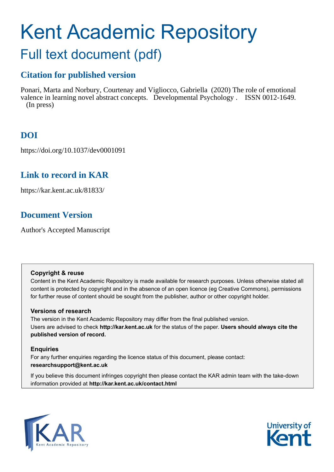# Kent Academic Repository Full text document (pdf)

# **Citation for published version**

Ponari, Marta and Norbury, Courtenay and Vigliocco, Gabriella (2020) The role of emotional valence in learning novel abstract concepts. Developmental Psychology . ISSN 0012-1649. (In press)

# **DOI**

https://doi.org/10.1037/dev0001091

## **Link to record in KAR**

https://kar.kent.ac.uk/81833/

# **Document Version**

Author's Accepted Manuscript

#### **Copyright & reuse**

Content in the Kent Academic Repository is made available for research purposes. Unless otherwise stated all content is protected by copyright and in the absence of an open licence (eg Creative Commons), permissions for further reuse of content should be sought from the publisher, author or other copyright holder.

#### **Versions of research**

The version in the Kent Academic Repository may differ from the final published version. Users are advised to check **http://kar.kent.ac.uk** for the status of the paper. **Users should always cite the published version of record.**

#### **Enquiries**

For any further enquiries regarding the licence status of this document, please contact: **researchsupport@kent.ac.uk**

If you believe this document infringes copyright then please contact the KAR admin team with the take-down information provided at **http://kar.kent.ac.uk/contact.html**



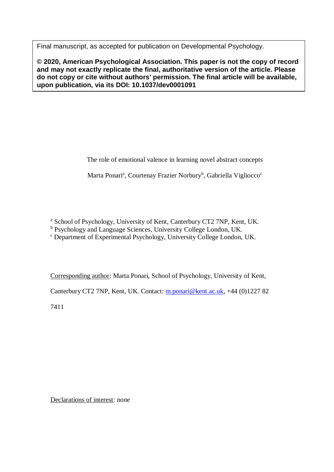Final manuscript, as accepted for publication on Developmental Psychology.

**© 2020, American Psychological Association. This paper is not the copy of record and may not exactly replicate the final, authoritative version of the article. Please do not copy or cite without authors' permission. The final article will be available, upon publication, via its DOI: 10.1037/dev0001091**

The role of emotional valence in learning novel abstract concepts

Marta Ponari<sup>a</sup>, Courtenay Frazier Norbury<sup>b</sup>, Gabriella Vigliocco<sup>c</sup>

<sup>a</sup> School of Psychology, University of Kent, Canterbury CT2 7NP, Kent, UK.

<sup>b</sup> Psychology and Language Sciences, University College London, UK.

<sup>c</sup> Department of Experimental Psychology, University College London, UK.

Corresponding author: Marta Ponari, School of Psychology, University of Kent,

Canterbury CT2 7NP, Kent, UK. Contact: [m.ponari@kent.ac.uk,](mailto:m.ponari@kent.ac.uk) +44 (0)1227 82

7411

Declarations of interest: none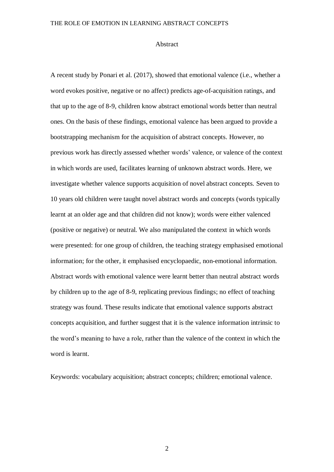#### Abstract

A recent study by Ponari et al. (2017), showed that emotional valence (i.e., whether a word evokes positive, negative or no affect) predicts age-of-acquisition ratings, and that up to the age of 8-9, children know abstract emotional words better than neutral ones. On the basis of these findings, emotional valence has been argued to provide a bootstrapping mechanism for the acquisition of abstract concepts. However, no previous work has directly assessed whether words' valence, or valence of the context in which words are used, facilitates learning of unknown abstract words. Here, we investigate whether valence supports acquisition of novel abstract concepts. Seven to 10 years old children were taught novel abstract words and concepts (words typically learnt at an older age and that children did not know); words were either valenced (positive or negative) or neutral. We also manipulated the context in which words were presented: for one group of children, the teaching strategy emphasised emotional information; for the other, it emphasised encyclopaedic, non-emotional information. Abstract words with emotional valence were learnt better than neutral abstract words by children up to the age of 8-9, replicating previous findings; no effect of teaching strategy was found. These results indicate that emotional valence supports abstract concepts acquisition, and further suggest that it is the valence information intrinsic to the word's meaning to have a role, rather than the valence of the context in which the word is learnt.

Keywords: vocabulary acquisition; abstract concepts; children; emotional valence.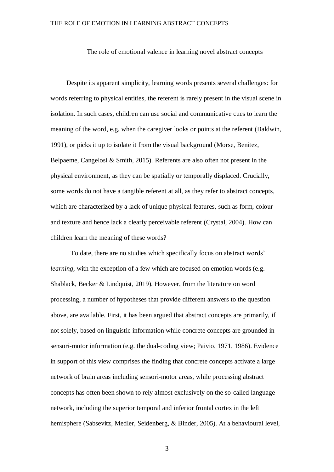The role of emotional valence in learning novel abstract concepts

Despite its apparent simplicity, learning words presents several challenges: for words referring to physical entities, the referent is rarely present in the visual scene in isolation. In such cases, children can use social and communicative cues to learn the meaning of the word, e.g. when the caregiver looks or points at the referent (Baldwin, 1991), or picks it up to isolate it from the visual background (Morse, Benitez, Belpaeme, Cangelosi & Smith, 2015). Referents are also often not present in the physical environment, as they can be spatially or temporally displaced. Crucially, some words do not have a tangible referent at all, as they refer to abstract concepts, which are characterized by a lack of unique physical features, such as form, colour and texture and hence lack a clearly perceivable referent (Crystal, 2004). How can children learn the meaning of these words?

To date, there are no studies which specifically focus on abstract words' *learning*, with the exception of a few which are focused on emotion words (e.g. Shablack, Becker & Lindquist, 2019). However, from the literature on word processing, a number of hypotheses that provide different answers to the question above, are available. First, it has been argued that abstract concepts are primarily, if not solely, based on linguistic information while concrete concepts are grounded in sensori-motor information (e.g. the dual-coding view; Paivio, 1971, 1986). Evidence in support of this view comprises the finding that concrete concepts activate a large network of brain areas including sensori-motor areas, while processing abstract concepts has often been shown to rely almost exclusively on the so-called languagenetwork, including the superior temporal and inferior frontal cortex in the left hemisphere (Sabsevitz, Medler, Seidenberg, & Binder, 2005). At a behavioural level,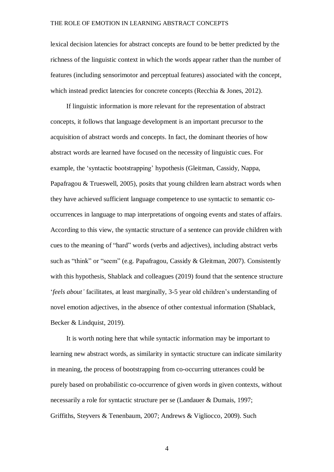lexical decision latencies for abstract concepts are found to be better predicted by the richness of the linguistic context in which the words appear rather than the number of features (including sensorimotor and perceptual features) associated with the concept, which instead predict latencies for concrete concepts (Recchia & Jones, 2012).

If linguistic information is more relevant for the representation of abstract concepts, it follows that language development is an important precursor to the acquisition of abstract words and concepts. In fact, the dominant theories of how abstract words are learned have focused on the necessity of linguistic cues. For example, the 'syntactic bootstrapping' hypothesis (Gleitman, Cassidy, Nappa, Papafragou & Trueswell, 2005), posits that young children learn abstract words when they have achieved sufficient language competence to use syntactic to semantic cooccurrences in language to map interpretations of ongoing events and states of affairs. According to this view, the syntactic structure of a sentence can provide children with cues to the meaning of "hard" words (verbs and adjectives), including abstract verbs such as "think" or "seem" (e.g. Papafragou, Cassidy & Gleitman, 2007). Consistently with this hypothesis, Shablack and colleagues (2019) found that the sentence structure '*feels about'* facilitates, at least marginally, 3-5 year old children's understanding of novel emotion adjectives, in the absence of other contextual information (Shablack, Becker & Lindquist, 2019).

It is worth noting here that while syntactic information may be important to learning new abstract words, as similarity in syntactic structure can indicate similarity in meaning, the process of bootstrapping from co-occurring utterances could be purely based on probabilistic co-occurrence of given words in given contexts, without necessarily a role for syntactic structure per se (Landauer & Dumais, 1997; Griffiths, Steyvers & Tenenbaum, 2007; Andrews & Vigliocco, 2009). Such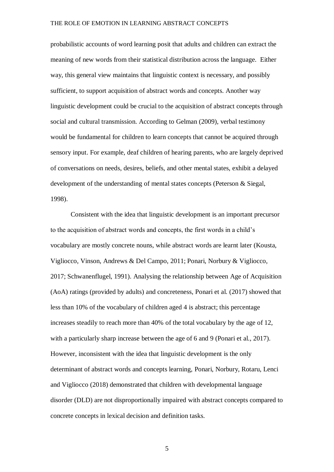probabilistic accounts of word learning posit that adults and children can extract the meaning of new words from their statistical distribution across the language. Either way, this general view maintains that linguistic context is necessary, and possibly sufficient, to support acquisition of abstract words and concepts. Another way linguistic development could be crucial to the acquisition of abstract concepts through social and cultural transmission. According to Gelman (2009), verbal testimony would be fundamental for children to learn concepts that cannot be acquired through sensory input. For example, deaf children of hearing parents, who are largely deprived of conversations on needs, desires, beliefs, and other mental states, exhibit a delayed development of the understanding of mental states concepts (Peterson & Siegal, 1998).

Consistent with the idea that linguistic development is an important precursor to the acquisition of abstract words and concepts, the first words in a child's vocabulary are mostly concrete nouns, while abstract words are learnt later (Kousta, Vigliocco, Vinson, Andrews & Del Campo, 2011; Ponari, Norbury & Vigliocco, 2017; Schwanenflugel, 1991). Analysing the relationship between Age of Acquisition (AoA) ratings (provided by adults) and concreteness, Ponari et al. (2017) showed that less than 10% of the vocabulary of children aged 4 is abstract; this percentage increases steadily to reach more than 40% of the total vocabulary by the age of 12, with a particularly sharp increase between the age of 6 and 9 (Ponari et al., 2017). However, inconsistent with the idea that linguistic development is the only determinant of abstract words and concepts learning, Ponari, Norbury, Rotaru, Lenci and Vigliocco (2018) demonstrated that children with developmental language disorder (DLD) are not disproportionally impaired with abstract concepts compared to concrete concepts in lexical decision and definition tasks.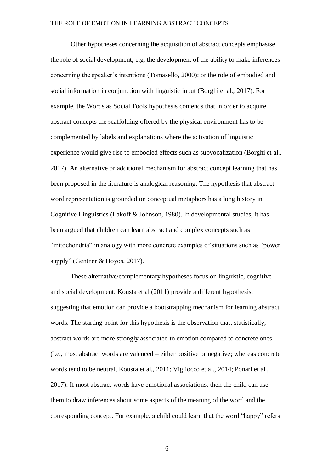Other hypotheses concerning the acquisition of abstract concepts emphasise the role of social development, e,g, the development of the ability to make inferences concerning the speaker's intentions (Tomasello, 2000); or the role of embodied and social information in conjunction with linguistic input (Borghi et al., 2017). For example, the Words as Social Tools hypothesis contends that in order to acquire abstract concepts the scaffolding offered by the physical environment has to be complemented by labels and explanations where the activation of linguistic experience would give rise to embodied effects such as subvocalization (Borghi et al., 2017). An alternative or additional mechanism for abstract concept learning that has been proposed in the literature is analogical reasoning. The hypothesis that abstract word representation is grounded on conceptual metaphors has a long history in Cognitive Linguistics (Lakoff & Johnson, 1980). In developmental studies, it has been argued that children can learn abstract and complex concepts such as "mitochondria" in analogy with more concrete examples of situations such as "power supply" (Gentner & Hoyos, 2017).

These alternative/complementary hypotheses focus on linguistic, cognitive and social development. Kousta et al (2011) provide a different hypothesis, suggesting that emotion can provide a bootstrapping mechanism for learning abstract words. The starting point for this hypothesis is the observation that, statistically, abstract words are more strongly associated to emotion compared to concrete ones (i.e., most abstract words are valenced – either positive or negative; whereas concrete words tend to be neutral, Kousta et al., 2011; Vigliocco et al., 2014; Ponari et al., 2017). If most abstract words have emotional associations, then the child can use them to draw inferences about some aspects of the meaning of the word and the corresponding concept. For example, a child could learn that the word "happy" refers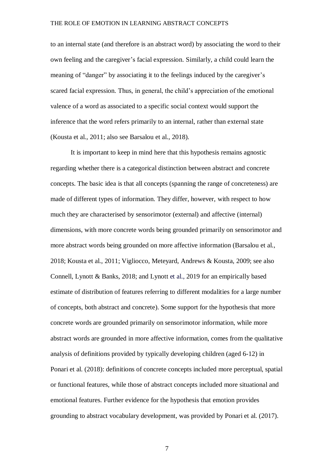to an internal state (and therefore is an abstract word) by associating the word to their own feeling and the caregiver's facial expression. Similarly, a child could learn the meaning of "danger" by associating it to the feelings induced by the caregiver's scared facial expression. Thus, in general, the child's appreciation of the emotional valence of a word as associated to a specific social context would support the inference that the word refers primarily to an internal, rather than external state (Kousta et al., 2011; also see Barsalou et al., 2018).

It is important to keep in mind here that this hypothesis remains agnostic regarding whether there is a categorical distinction between abstract and concrete concepts. The basic idea is that all concepts (spanning the range of concreteness) are made of different types of information. They differ, however, with respect to how much they are characterised by sensorimotor (external) and affective (internal) dimensions, with more concrete words being grounded primarily on sensorimotor and more abstract words being grounded on more affective information (Barsalou et al., 2018; Kousta et al., 2011; Vigliocco, Meteyard, Andrews & Kousta, 2009; see also Connell, Lynott & Banks, 2018; and Lynott et al., 2019 for an empirically based estimate of distribution of features referring to different modalities for a large number of concepts, both abstract and concrete). Some support for the hypothesis that more concrete words are grounded primarily on sensorimotor information, while more abstract words are grounded in more affective information, comes from the qualitative analysis of definitions provided by typically developing children (aged 6-12) in Ponari et al. (2018): definitions of concrete concepts included more perceptual, spatial or functional features, while those of abstract concepts included more situational and emotional features. Further evidence for the hypothesis that emotion provides grounding to abstract vocabulary development, was provided by Ponari et al. (2017).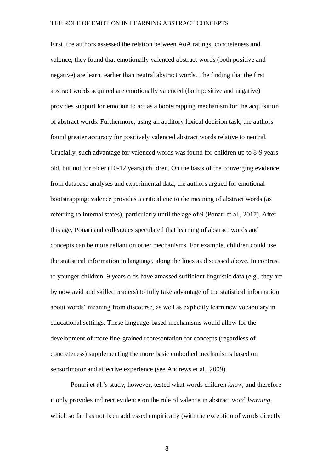First, the authors assessed the relation between AoA ratings, concreteness and valence; they found that emotionally valenced abstract words (both positive and negative) are learnt earlier than neutral abstract words. The finding that the first abstract words acquired are emotionally valenced (both positive and negative) provides support for emotion to act as a bootstrapping mechanism for the acquisition of abstract words. Furthermore, using an auditory lexical decision task, the authors found greater accuracy for positively valenced abstract words relative to neutral. Crucially, such advantage for valenced words was found for children up to 8-9 years old, but not for older (10-12 years) children. On the basis of the converging evidence from database analyses and experimental data, the authors argued for emotional bootstrapping: valence provides a critical cue to the meaning of abstract words (as referring to internal states), particularly until the age of 9 (Ponari et al., 2017). After this age, Ponari and colleagues speculated that learning of abstract words and concepts can be more reliant on other mechanisms. For example, children could use the statistical information in language, along the lines as discussed above. In contrast to younger children, 9 years olds have amassed sufficient linguistic data (e.g., they are by now avid and skilled readers) to fully take advantage of the statistical information about words' meaning from discourse, as well as explicitly learn new vocabulary in educational settings. These language-based mechanisms would allow for the development of more fine-grained representation for concepts (regardless of concreteness) supplementing the more basic embodied mechanisms based on sensorimotor and affective experience (see Andrews et al., 2009).

Ponari et al.'s study, however, tested what words children *know*, and therefore it only provides indirect evidence on the role of valence in abstract word *learning*, which so far has not been addressed empirically (with the exception of words directly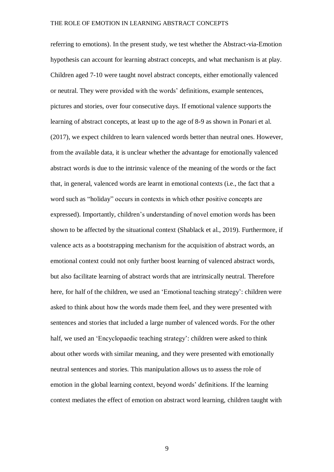referring to emotions). In the present study, we test whether the Abstract-via-Emotion hypothesis can account for learning abstract concepts, and what mechanism is at play. Children aged 7-10 were taught novel abstract concepts, either emotionally valenced or neutral. They were provided with the words' definitions, example sentences, pictures and stories, over four consecutive days. If emotional valence supports the learning of abstract concepts, at least up to the age of 8-9 as shown in Ponari et al. (2017), we expect children to learn valenced words better than neutral ones. However, from the available data, it is unclear whether the advantage for emotionally valenced abstract words is due to the intrinsic valence of the meaning of the words or the fact that, in general, valenced words are learnt in emotional contexts (i.e., the fact that a word such as "holiday" occurs in contexts in which other positive concepts are expressed). Importantly, children's understanding of novel emotion words has been shown to be affected by the situational context (Shablack et al., 2019). Furthermore, if valence acts as a bootstrapping mechanism for the acquisition of abstract words, an emotional context could not only further boost learning of valenced abstract words, but also facilitate learning of abstract words that are intrinsically neutral. Therefore here, for half of the children, we used an 'Emotional teaching strategy': children were asked to think about how the words made them feel, and they were presented with sentences and stories that included a large number of valenced words. For the other half, we used an 'Encyclopaedic teaching strategy': children were asked to think about other words with similar meaning, and they were presented with emotionally neutral sentences and stories. This manipulation allows us to assess the role of emotion in the global learning context, beyond words' definitions. If the learning context mediates the effect of emotion on abstract word learning, children taught with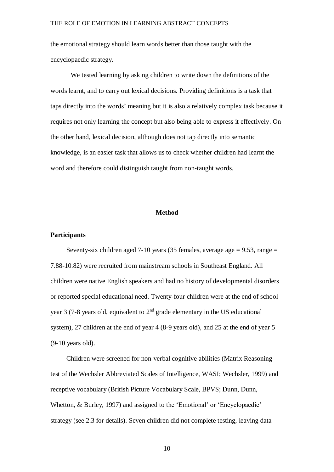the emotional strategy should learn words better than those taught with the encyclopaedic strategy.

We tested learning by asking children to write down the definitions of the words learnt, and to carry out lexical decisions. Providing definitions is a task that taps directly into the words' meaning but it is also a relatively complex task because it requires not only learning the concept but also being able to express it effectively. On the other hand, lexical decision, although does not tap directly into semantic knowledge, is an easier task that allows us to check whether children had learnt the word and therefore could distinguish taught from non-taught words.

#### **Method**

#### **Participants**

Seventy-six children aged 7-10 years (35 females, average age  $= 9.53$ , range  $=$ 7.88-10.82) were recruited from mainstream schools in Southeast England. All children were native English speakers and had no history of developmental disorders or reported special educational need. Twenty-four children were at the end of school year 3 (7-8 years old, equivalent to  $2<sup>nd</sup>$  grade elementary in the US educational system), 27 children at the end of year 4 (8-9 years old), and 25 at the end of year 5 (9-10 years old).

Children were screened for non-verbal cognitive abilities (Matrix Reasoning test of the Wechsler Abbreviated Scales of Intelligence, WASI; Wechsler, 1999) and receptive vocabulary (British Picture Vocabulary Scale, BPVS; Dunn, Dunn, Whetton, & Burley, 1997) and assigned to the 'Emotional' or 'Encyclopaedic' strategy (see 2.3 for details). Seven children did not complete testing, leaving data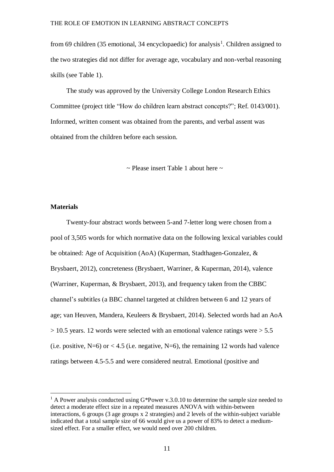from 69 children (35 emotional, 34 encyclopaedic) for analysis<sup>1</sup>. Children assigned to the two strategies did not differ for average age, vocabulary and non-verbal reasoning skills (see Table 1).

The study was approved by the University College London Research Ethics Committee (project title "How do children learn abstract concepts?"; Ref. 0143/001). Informed, written consent was obtained from the parents, and verbal assent was obtained from the children before each session.

 $\sim$  Please insert Table 1 about here  $\sim$ 

#### **Materials**

 $\overline{a}$ 

Twenty-four abstract words between 5-and 7-letter long were chosen from a pool of 3,505 words for which normative data on the following lexical variables could be obtained: Age of Acquisition (AoA) (Kuperman, Stadthagen-Gonzalez, & Brysbaert, 2012), concreteness (Brysbaert, Warriner, & Kuperman, 2014), valence (Warriner, Kuperman, & Brysbaert, 2013), and frequency taken from the CBBC channel's subtitles (a BBC channel targeted at children between 6 and 12 years of age; van Heuven, Mandera, Keuleers & Brysbaert, 2014). Selected words had an AoA  $> 10.5$  years. 12 words were selected with an emotional valence ratings were  $> 5.5$ (i.e. positive,  $N=6$ ) or < 4.5 (i.e. negative,  $N=6$ ), the remaining 12 words had valence ratings between 4.5-5.5 and were considered neutral. Emotional (positive and

<sup>&</sup>lt;sup>1</sup> A Power analysis conducted using G\*Power v.3.0.10 to determine the sample size needed to detect a moderate effect size in a repeated measures ANOVA with within-between interactions, 6 groups (3 age groups x 2 strategies) and 2 levels of the within-subject variable indicated that a total sample size of 66 would give us a power of 83% to detect a mediumsized effect. For a smaller effect, we would need over 200 children.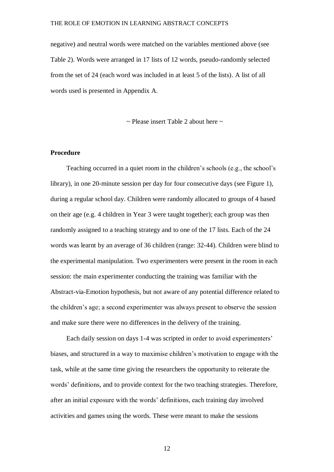negative) and neutral words were matched on the variables mentioned above (see Table 2). Words were arranged in 17 lists of 12 words, pseudo-randomly selected from the set of 24 (each word was included in at least 5 of the lists). A list of all words used is presented in Appendix A.

 $\sim$  Please insert Table 2 about here  $\sim$ 

#### **Procedure**

Teaching occurred in a quiet room in the children's schools (e.g., the school's library), in one 20-minute session per day for four consecutive days (see Figure 1), during a regular school day. Children were randomly allocated to groups of 4 based on their age (e.g. 4 children in Year 3 were taught together); each group was then randomly assigned to a teaching strategy and to one of the 17 lists. Each of the 24 words was learnt by an average of 36 children (range: 32-44). Children were blind to the experimental manipulation. Two experimenters were present in the room in each session: the main experimenter conducting the training was familiar with the Abstract-via-Emotion hypothesis, but not aware of any potential difference related to the children's age; a second experimenter was always present to observe the session and make sure there were no differences in the delivery of the training.

Each daily session on days 1-4 was scripted in order to avoid experimenters' biases, and structured in a way to maximise children's motivation to engage with the task, while at the same time giving the researchers the opportunity to reiterate the words' definitions, and to provide context for the two teaching strategies. Therefore, after an initial exposure with the words' definitions, each training day involved activities and games using the words. These were meant to make the sessions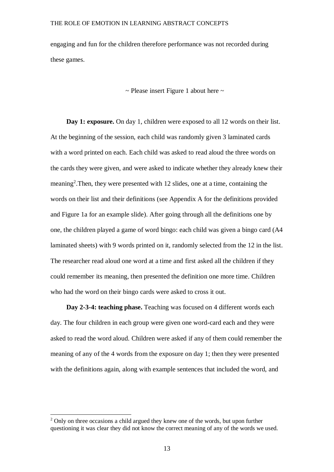engaging and fun for the children therefore performance was not recorded during these games.

 $\sim$  Please insert Figure 1 about here  $\sim$ 

**Day 1: exposure.** On day 1, children were exposed to all 12 words on their list. At the beginning of the session, each child was randomly given 3 laminated cards with a word printed on each. Each child was asked to read aloud the three words on the cards they were given, and were asked to indicate whether they already knew their meaning<sup>2</sup>. Then, they were presented with 12 slides, one at a time, containing the words on their list and their definitions (see Appendix A for the definitions provided and Figure 1a for an example slide). After going through all the definitions one by one, the children played a game of word bingo: each child was given a bingo card (A4 laminated sheets) with 9 words printed on it, randomly selected from the 12 in the list. The researcher read aloud one word at a time and first asked all the children if they could remember its meaning, then presented the definition one more time. Children who had the word on their bingo cards were asked to cross it out.

**Day 2-3-4: teaching phase.** Teaching was focused on 4 different words each day. The four children in each group were given one word-card each and they were asked to read the word aloud. Children were asked if any of them could remember the meaning of any of the 4 words from the exposure on day 1; then they were presented with the definitions again, along with example sentences that included the word, and

l

 $2$  Only on three occasions a child argued they knew one of the words, but upon further questioning it was clear they did not know the correct meaning of any of the words we used.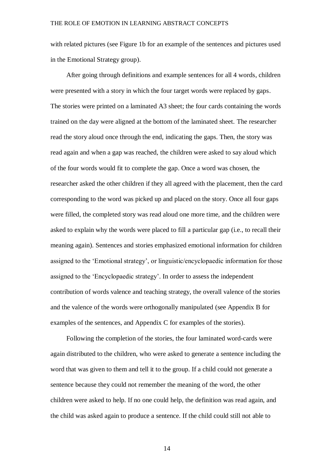with related pictures (see Figure 1b for an example of the sentences and pictures used in the Emotional Strategy group).

After going through definitions and example sentences for all 4 words, children were presented with a story in which the four target words were replaced by gaps. The stories were printed on a laminated A3 sheet; the four cards containing the words trained on the day were aligned at the bottom of the laminated sheet. The researcher read the story aloud once through the end, indicating the gaps. Then, the story was read again and when a gap was reached, the children were asked to say aloud which of the four words would fit to complete the gap. Once a word was chosen, the researcher asked the other children if they all agreed with the placement, then the card corresponding to the word was picked up and placed on the story. Once all four gaps were filled, the completed story was read aloud one more time, and the children were asked to explain why the words were placed to fill a particular gap (i.e., to recall their meaning again). Sentences and stories emphasized emotional information for children assigned to the 'Emotional strategy', or linguistic/encyclopaedic information for those assigned to the 'Encyclopaedic strategy'. In order to assess the independent contribution of words valence and teaching strategy, the overall valence of the stories and the valence of the words were orthogonally manipulated (see Appendix B for examples of the sentences, and Appendix C for examples of the stories).

Following the completion of the stories, the four laminated word-cards were again distributed to the children, who were asked to generate a sentence including the word that was given to them and tell it to the group. If a child could not generate a sentence because they could not remember the meaning of the word, the other children were asked to help. If no one could help, the definition was read again, and the child was asked again to produce a sentence. If the child could still not able to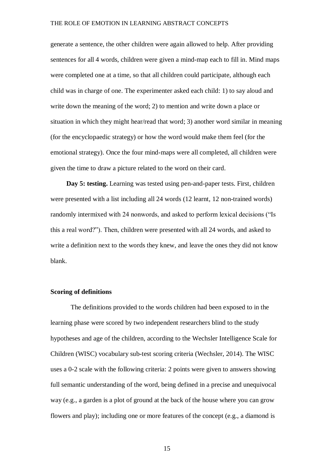generate a sentence, the other children were again allowed to help. After providing sentences for all 4 words, children were given a mind-map each to fill in. Mind maps were completed one at a time, so that all children could participate, although each child was in charge of one. The experimenter asked each child: 1) to say aloud and write down the meaning of the word; 2) to mention and write down a place or situation in which they might hear/read that word; 3) another word similar in meaning (for the encyclopaedic strategy) or how the word would make them feel (for the emotional strategy). Once the four mind-maps were all completed, all children were given the time to draw a picture related to the word on their card.

**Day 5: testing.** Learning was tested using pen-and-paper tests. First, children were presented with a list including all 24 words (12 learnt, 12 non-trained words) randomly intermixed with 24 nonwords, and asked to perform lexical decisions ("Is this a real word?"). Then, children were presented with all 24 words, and asked to write a definition next to the words they knew, and leave the ones they did not know blank.

#### **Scoring of definitions**

The definitions provided to the words children had been exposed to in the learning phase were scored by two independent researchers blind to the study hypotheses and age of the children, according to the Wechsler Intelligence Scale for Children (WISC) vocabulary sub-test scoring criteria (Wechsler, 2014). The WISC uses a 0-2 scale with the following criteria: 2 points were given to answers showing full semantic understanding of the word, being defined in a precise and unequivocal way (e.g., a garden is a plot of ground at the back of the house where you can grow flowers and play); including one or more features of the concept (e.g., a diamond is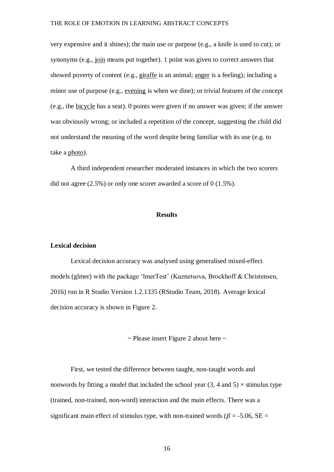very expensive and it shines); the main use or purpose (e.g., a knife is used to cut); or synonyms (e.g., join means put together). 1 point was given to correct answers that showed poverty of content (e.g., giraffe is an animal; anger is a feeling); including a minor use of purpose (e.g., evening is when we dine); or trivial features of the concept (e.g., the bicycle has a seat). 0 points were given if no answer was given; if the answer was obviously wrong; or included a repetition of the concept, suggesting the child did not understand the meaning of the word despite being familiar with its use (e.g. to take a photo).

A third independent researcher moderated instances in which the two scorers did not agree (2.5%) or only one scorer awarded a score of 0 (1.5%).

#### **Results**

#### **Lexical decision**

Lexical decision accuracy was analysed using generalised mixed-effect models (glmer) with the package 'lmerTest' (Kuznetsova, Brockhoff & Christensen, 2016) run in R Studio Version 1.2.1335 (RStudio Team, 2018). Average lexical decision accuracy is shown in Figure 2.

 $\sim$  Please insert Figure 2 about here  $\sim$ 

First, we tested the difference between taught, non-taught words and nonwords by fitting a model that included the school year  $(3, 4 \text{ and } 5) \times$  stimulus type (trained, non-trained, non-word) interaction and the main effects. There was a significant main effect of stimulus type, with non-trained words ( $\beta$  = -5.06, SE =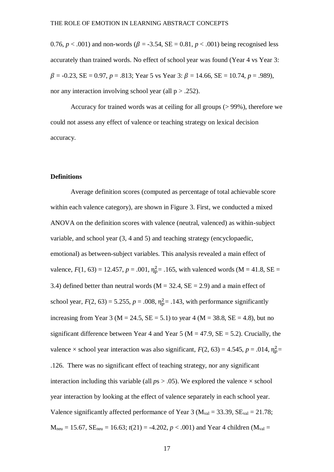0.76,  $p < .001$ ) and non-words ( $\beta = -3.54$ ,  $SE = 0.81$ ,  $p < .001$ ) being recognised less accurately than trained words. No effect of school year was found (Year 4 vs Year 3:  $\beta$  = -0.23, SE = 0.97, *p* = .813; Year 5 vs Year 3:  $\beta$  = 14.66, SE = 10.74, *p* = .989), nor any interaction involving school year (all  $p > .252$ ).

Accuracy for trained words was at ceiling for all groups (> 99%), therefore we could not assess any effect of valence or teaching strategy on lexical decision accuracy.

#### **Definitions**

Average definition scores (computed as percentage of total achievable score within each valence category), are shown in Figure 3. First, we conducted a mixed ANOVA on the definition scores with valence (neutral, valenced) as within-subject variable, and school year (3, 4 and 5) and teaching strategy (encyclopaedic, emotional) as between-subject variables. This analysis revealed a main effect of valence,  $F(1, 63) = 12.457$ ,  $p = .001$ ,  $\eta_{p}^{2} = .165$ , with valenced words (M = 41.8, SE = 3.4) defined better than neutral words  $(M = 32.4, SE = 2.9)$  and a main effect of school year,  $F(2, 63) = 5.255$ ,  $p = .008$ ,  $\eta_p^2 = .143$ , with performance significantly increasing from Year 3 ( $M = 24.5$ ,  $SE = 5.1$ ) to year 4 ( $M = 38.8$ ,  $SE = 4.8$ ), but no significant difference between Year 4 and Year 5 ( $M = 47.9$ ,  $SE = 5.2$ ). Crucially, the valence  $\times$  school year interaction was also significant,  $F(2, 63) = 4.545$ ,  $p = .014$ ,  $\eta_p^2 =$ .126. There was no significant effect of teaching strategy, nor any significant interaction including this variable (all  $ps > .05$ ). We explored the valence  $\times$  school year interaction by looking at the effect of valence separately in each school year. Valence significantly affected performance of Year 3 ( $M_{val} = 33.39$ ,  $SE_{val} = 21.78$ ;  $M_{\text{neu}} = 15.67$ ,  $SE_{\text{neu}} = 16.63$ ;  $t(21) = -4.202$ ,  $p < .001$ ) and Year 4 children ( $M_{\text{val}} =$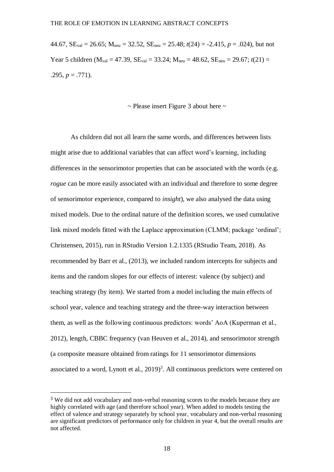44.67,  $SE_{val} = 26.65$ ;  $M_{neu} = 32.52$ ,  $SE_{neu} = 25.48$ ;  $t(24) = -2.415$ ,  $p = .024$ ), but not Year 5 children ( $M_{val} = 47.39$ ,  $SE_{val} = 33.24$ ;  $M_{neu} = 48.62$ ,  $SE_{neu} = 29.67$ ;  $t(21) =$ .295,  $p = .771$ ).

 $\sim$  Please insert Figure 3 about here  $\sim$ 

As children did not all learn the same words, and differences between lists might arise due to additional variables that can affect word's learning, including differences in the sensorimotor properties that can be associated with the words (e.g. *rogue* can be more easily associated with an individual and therefore to some degree of sensorimotor experience, compared to *insight*), we also analysed the data using mixed models. Due to the ordinal nature of the definition scores, we used cumulative link mixed models fitted with the Laplace approximation (CLMM; package 'ordinal'; Christensen, 2015), run in RStudio Version 1.2.1335 (RStudio Team, 2018). As recommended by Barr et al., (2013), we included random intercepts for subjects and items and the random slopes for our effects of interest: valence (by subject) and teaching strategy (by item). We started from a model including the main effects of school year, valence and teaching strategy and the three-way interaction between them, as well as the following continuous predictors: words' AoA (Kuperman et al., 2012), length, CBBC frequency (van Heuven et al., 2014), and sensorimotor strength (a composite measure obtained from ratings for 11 sensorimotor dimensions associated to a word, Lynott et al.,  $2019)^3$ . All continuous predictors were centered on

 $\overline{a}$ 

<sup>3</sup> We did not add vocabulary and non-verbal reasoning scores to the models because they are highly correlated with age (and therefore school year). When added to models testing the effect of valence and strategy separately by school year, vocabulary and non-verbal reasoning are significant predictors of performance only for children in year 4, but the overall results are not affected.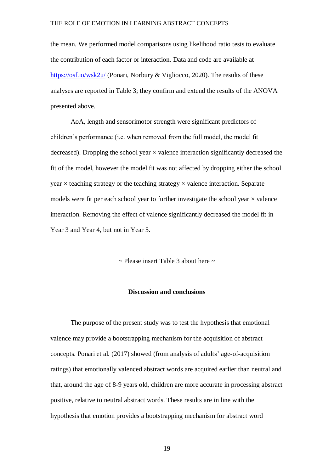the mean. We performed model comparisons using likelihood ratio tests to evaluate the contribution of each factor or interaction. Data and code are available at <https://osf.io/wsk2u/> (Ponari, Norbury & Vigliocco, 2020). The results of these analyses are reported in Table 3; they confirm and extend the results of the ANOVA presented above.

AoA, length and sensorimotor strength were significant predictors of children's performance (i.e. when removed from the full model, the model fit decreased). Dropping the school year  $\times$  valence interaction significantly decreased the fit of the model, however the model fit was not affected by dropping either the school year  $\times$  teaching strategy or the teaching strategy  $\times$  valence interaction. Separate models were fit per each school year to further investigate the school year  $\times$  valence interaction. Removing the effect of valence significantly decreased the model fit in Year 3 and Year 4, but not in Year 5.

 $\sim$  Please insert Table 3 about here  $\sim$ 

#### **Discussion and conclusions**

The purpose of the present study was to test the hypothesis that emotional valence may provide a bootstrapping mechanism for the acquisition of abstract concepts. Ponari et al. (2017) showed (from analysis of adults' age-of-acquisition ratings) that emotionally valenced abstract words are acquired earlier than neutral and that, around the age of 8-9 years old, children are more accurate in processing abstract positive, relative to neutral abstract words. These results are in line with the hypothesis that emotion provides a bootstrapping mechanism for abstract word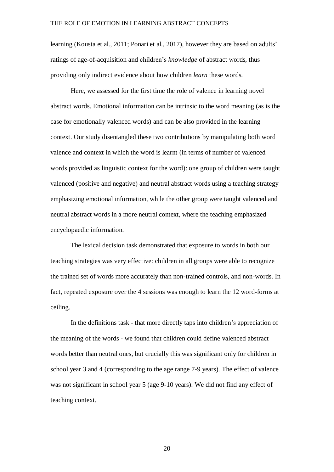learning (Kousta et al., 2011; Ponari et al., 2017), however they are based on adults' ratings of age-of-acquisition and children's *knowledge* of abstract words, thus providing only indirect evidence about how children *learn* these words*.*

Here, we assessed for the first time the role of valence in learning novel abstract words. Emotional information can be intrinsic to the word meaning (as is the case for emotionally valenced words) and can be also provided in the learning context. Our study disentangled these two contributions by manipulating both word valence and context in which the word is learnt (in terms of number of valenced words provided as linguistic context for the word): one group of children were taught valenced (positive and negative) and neutral abstract words using a teaching strategy emphasizing emotional information, while the other group were taught valenced and neutral abstract words in a more neutral context, where the teaching emphasized encyclopaedic information.

The lexical decision task demonstrated that exposure to words in both our teaching strategies was very effective: children in all groups were able to recognize the trained set of words more accurately than non-trained controls, and non-words. In fact, repeated exposure over the 4 sessions was enough to learn the 12 word-forms at ceiling.

In the definitions task - that more directly taps into children's appreciation of the meaning of the words - we found that children could define valenced abstract words better than neutral ones, but crucially this was significant only for children in school year 3 and 4 (corresponding to the age range 7-9 years). The effect of valence was not significant in school year 5 (age 9-10 years). We did not find any effect of teaching context.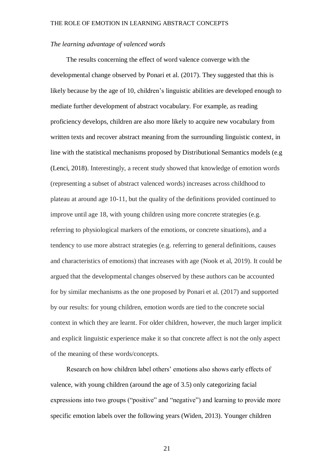#### *The learning advantage of valenced words*

The results concerning the effect of word valence converge with the developmental change observed by Ponari et al. (2017). They suggested that this is likely because by the age of 10, children's linguistic abilities are developed enough to mediate further development of abstract vocabulary. For example, as reading proficiency develops, children are also more likely to acquire new vocabulary from written texts and recover abstract meaning from the surrounding linguistic context, in line with the statistical mechanisms proposed by Distributional Semantics models (e.g (Lenci, 2018). Interestingly, a recent study showed that knowledge of emotion words (representing a subset of abstract valenced words) increases across childhood to plateau at around age 10-11, but the quality of the definitions provided continued to improve until age 18, with young children using more concrete strategies (e.g. referring to physiological markers of the emotions, or concrete situations), and a tendency to use more abstract strategies (e.g. referring to general definitions, causes and characteristics of emotions) that increases with age (Nook et al, 2019). It could be argued that the developmental changes observed by these authors can be accounted for by similar mechanisms as the one proposed by Ponari et al. (2017) and supported by our results: for young children, emotion words are tied to the concrete social context in which they are learnt. For older children, however, the much larger implicit and explicit linguistic experience make it so that concrete affect is not the only aspect of the meaning of these words/concepts.

Research on how children label others' emotions also shows early effects of valence, with young children (around the age of 3.5) only categorizing facial expressions into two groups ("positive" and "negative") and learning to provide more specific emotion labels over the following years (Widen, 2013). Younger children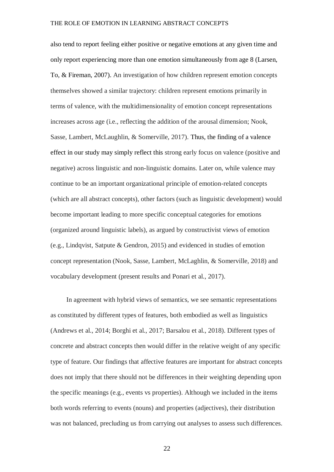also tend to report feeling either positive or negative emotions at any given time and only report experiencing more than one emotion simultaneously from age 8 (Larsen, To, & Fireman, 2007). An investigation of how children represent emotion concepts themselves showed a similar trajectory: children represent emotions primarily in terms of valence, with the multidimensionality of emotion concept representations increases across age (i.e., reflecting the addition of the arousal dimension; Nook, Sasse, Lambert, McLaughlin, & Somerville, 2017). Thus, the finding of a valence effect in our study may simply reflect this strong early focus on valence (positive and negative) across linguistic and non-linguistic domains. Later on, while valence may continue to be an important organizational principle of emotion-related concepts (which are all abstract concepts), other factors (such as linguistic development) would become important leading to more specific conceptual categories for emotions (organized around linguistic labels), as argued by constructivist views of emotion (e.g., Lindqvist, Satpute & Gendron, 2015) and evidenced in studies of emotion concept representation (Nook, Sasse, Lambert, McLaghlin, & Somerville, 2018) and vocabulary development (present results and Ponari et al., 2017).

In agreement with hybrid views of semantics, we see semantic representations as constituted by different types of features, both embodied as well as linguistics (Andrews et al., 2014; Borghi et al., 2017; Barsalou et al., 2018). Different types of concrete and abstract concepts then would differ in the relative weight of any specific type of feature. Our findings that affective features are important for abstract concepts does not imply that there should not be differences in their weighting depending upon the specific meanings (e.g., events vs properties). Although we included in the items both words referring to events (nouns) and properties (adjectives), their distribution was not balanced, precluding us from carrying out analyses to assess such differences.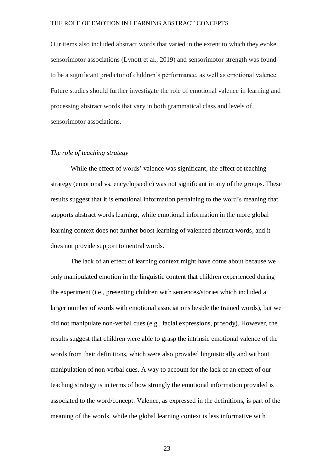Our items also included abstract words that varied in the extent to which they evoke sensorimotor associations (Lynott et al., 2019) and sensorimotor strength was found to be a significant predictor of children's performance, as well as emotional valence. Future studies should further investigate the role of emotional valence in learning and processing abstract words that vary in both grammatical class and levels of sensorimotor associations.

#### *The role of teaching strategy*

While the effect of words' valence was significant, the effect of teaching strategy (emotional vs. encyclopaedic) was not significant in any of the groups. These results suggest that it is emotional information pertaining to the word's meaning that supports abstract words learning, while emotional information in the more global learning context does not further boost learning of valenced abstract words, and it does not provide support to neutral words.

The lack of an effect of learning context might have come about because we only manipulated emotion in the linguistic content that children experienced during the experiment (i.e., presenting children with sentences/stories which included a larger number of words with emotional associations beside the trained words), but we did not manipulate non-verbal cues (e.g., facial expressions, prosody). However, the results suggest that children were able to grasp the intrinsic emotional valence of the words from their definitions, which were also provided linguistically and without manipulation of non-verbal cues. A way to account for the lack of an effect of our teaching strategy is in terms of how strongly the emotional information provided is associated to the word/concept. Valence, as expressed in the definitions, is part of the meaning of the words, while the global learning context is less informative with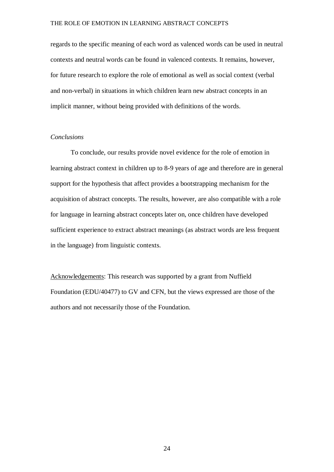regards to the specific meaning of each word as valenced words can be used in neutral contexts and neutral words can be found in valenced contexts. It remains, however, for future research to explore the role of emotional as well as social context (verbal and non-verbal) in situations in which children learn new abstract concepts in an implicit manner, without being provided with definitions of the words.

#### *Conclusions*

To conclude, our results provide novel evidence for the role of emotion in learning abstract context in children up to 8-9 years of age and therefore are in general support for the hypothesis that affect provides a bootstrapping mechanism for the acquisition of abstract concepts. The results, however, are also compatible with a role for language in learning abstract concepts later on, once children have developed sufficient experience to extract abstract meanings (as abstract words are less frequent in the language) from linguistic contexts.

Acknowledgements: This research was supported by a grant from Nuffield Foundation (EDU/40477) to GV and CFN, but the views expressed are those of the authors and not necessarily those of the Foundation.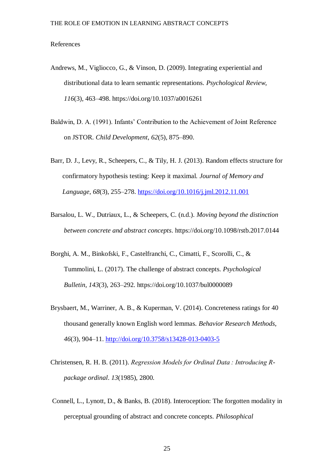#### References

- Andrews, M., Vigliocco, G., & Vinson, D. (2009). Integrating experiential and distributional data to learn semantic representations. *Psychological Review*, *116*(3), 463–498. https://doi.org/10.1037/a0016261
- Baldwin, D. A. (1991). Infants' Contribution to the Achievement of Joint Reference on JSTOR. *Child Development*, *62*(5), 875–890.
- Barr, D. J., Levy, R., Scheepers, C., & Tily, H. J. (2013). Random effects structure for confirmatory hypothesis testing: Keep it maximal. *Journal of Memory and Language*, *68*(3), 255–278.<https://doi.org/10.1016/j.jml.2012.11.001>
- Barsalou, L. W., Dutriaux, L., & Scheepers, C. (n.d.). *Moving beyond the distinction between concrete and abstract concepts*. https://doi.org/10.1098/rstb.2017.0144
- Borghi, A. M., Binkofski, F., Castelfranchi, C., Cimatti, F., Scorolli, C., & Tummolini, L. (2017). The challenge of abstract concepts. *Psychological Bulletin*, *143*(3), 263–292. https://doi.org/10.1037/bul0000089
- Brysbaert, M., Warriner, A. B., & Kuperman, V. (2014). Concreteness ratings for 40 thousand generally known English word lemmas. *Behavior Research Methods*, *46*(3), 904–11.<http://doi.org/10.3758/s13428-013-0403-5>
- Christensen, R. H. B. (2011). *Regression Models for Ordinal Data : Introducing Rpackage ordinal*. *13*(1985), 2800.
- Connell, L., Lynott, D., & Banks, B. (2018). Interoception: The forgotten modality in perceptual grounding of abstract and concrete concepts. *Philosophical*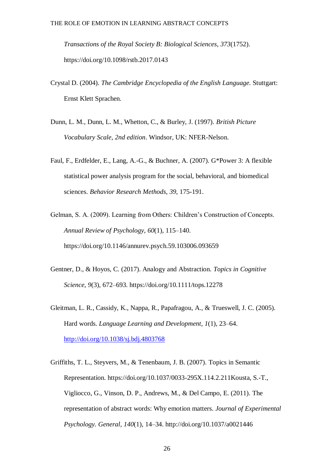*Transactions of the Royal Society B: Biological Sciences*, *373*(1752). https://doi.org/10.1098/rstb.2017.0143

- Crystal D. (2004). *The Cambridge Encyclopedia of the English Language.* Stuttgart: Ernst Klett Sprachen.
- Dunn, L. M., Dunn, L. M., Whetton, C., & Burley, J. (1997). *British Picture Vocabulary Scale, 2nd edition*. Windsor, UK: NFER-Nelson.
- Faul, F., Erdfelder, E., Lang, A.-G., & Buchner, A. (2007). G\*Power 3: A flexible statistical power analysis program for the social, behavioral, and biomedical sciences. *Behavior Research Methods*, *39*, 175-191.
- Gelman, S. A. (2009). Learning from Others: Children's Construction of Concepts. *Annual Review of Psychology*, *60*(1), 115–140. https://doi.org/10.1146/annurev.psych.59.103006.093659
- Gentner, D., & Hoyos, C. (2017). Analogy and Abstraction. *Topics in Cognitive Science*, *9*(3), 672–693. https://doi.org/10.1111/tops.12278
- Gleitman, L. R., Cassidy, K., Nappa, R., Papafragou, A., & Trueswell, J. C. (2005). Hard words. *Language Learning and Development*, *1*(1), 23–64. <http://doi.org/10.1038/sj.bdj.4803768>
- Griffiths, T. L., Steyvers, M., & Tenenbaum, J. B. (2007). Topics in Semantic Representation. https://doi.org/10.1037/0033-295X.114.2.211Kousta, S.-T., Vigliocco, G., Vinson, D. P., Andrews, M., & Del Campo, E. (2011). The representation of abstract words: Why emotion matters. *Journal of Experimental Psychology. General*, *140*(1), 14–34. http://doi.org/10.1037/a0021446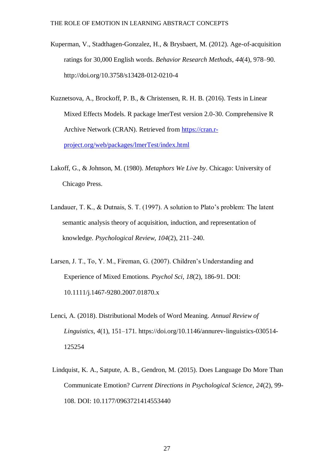- Kuperman, V., Stadthagen-Gonzalez, H., & Brysbaert, M. (2012). Age-of-acquisition ratings for 30,000 English words. *Behavior Research Methods*, *44*(4), 978–90. http://doi.org/10.3758/s13428-012-0210-4
- Kuznetsova, A., Brockoff, P. B., & Christensen, R. H. B. (2016). Tests in Linear Mixed Effects Models. R package lmerTest version 2.0-30. Comprehensive R Archive Network (CRAN). Retrieved from [https://cran.r](https://cran.r-project.org/web/packages/lmerTest/index.html)[project.org/web/packages/lmerTest/index.html](https://cran.r-project.org/web/packages/lmerTest/index.html)
- Lakoff, G., & Johnson, M. (1980). *Metaphors We Live by*. Chicago: University of Chicago Press.
- Landauer, T. K., & Dutnais, S. T. (1997). A solution to Plato's problem: The latent semantic analysis theory of acquisition, induction, and representation of knowledge. *Psychological Review*, *104*(2), 211–240.
- Larsen, J. T., To, Y. M., Fireman, G. (2007). Children's Understanding and Experience of Mixed Emotions. *Psychol Sci, 18*(2), 186-91. DOI: 10.1111/j.1467-9280.2007.01870.x
- Lenci, A. (2018). Distributional Models of Word Meaning. *Annual Review of Linguistics*, *4*(1), 151–171. https://doi.org/10.1146/annurev-linguistics-030514- 125254
- Lindquist, K. A., Satpute, A. B., Gendron, M. (2015). Does Language Do More Than Communicate Emotion? *Current Directions in Psychological Science, 24*(2), 99- 108. DOI: 10.1177/0963721414553440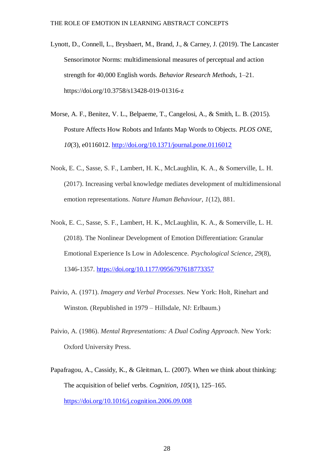- Lynott, D., Connell, L., Brysbaert, M., Brand, J., & Carney, J. (2019). The Lancaster Sensorimotor Norms: multidimensional measures of perceptual and action strength for 40,000 English words. *Behavior Research Methods*, 1–21. https://doi.org/10.3758/s13428-019-01316-z
- Morse, A. F., Benitez, V. L., Belpaeme, T., Cangelosi, A., & Smith, L. B. (2015). Posture Affects How Robots and Infants Map Words to Objects. *PLOS ONE*, *10*(3), e0116012.<http://doi.org/10.1371/journal.pone.0116012>
- Nook, E. C., Sasse, S. F., Lambert, H. K., McLaughlin, K. A., & Somerville, L. H. (2017). Increasing verbal knowledge mediates development of multidimensional emotion representations. *Nature Human Behaviour, 1*(12), 881.
- Nook, E. C., Sasse, S. F., Lambert, H. K., McLaughlin, K. A., & Somerville, L. H. (2018). The Nonlinear Development of Emotion Differentiation: Granular Emotional Experience Is Low in Adolescence. *Psychological Science, 29*(8), 1346-1357.<https://doi.org/10.1177/0956797618773357>
- Paivio, A. (1971). *Imagery and Verbal Processes*. New York: Holt, Rinehart and Winston. (Republished in 1979 – Hillsdale, NJ: Erlbaum.)
- Paivio, A. (1986). *Mental Representations: A Dual Coding Approach*. New York: Oxford University Press.
- Papafragou, A., Cassidy, K., & Gleitman, L. (2007). When we think about thinking: The acquisition of belief verbs. *Cognition*, *105*(1), 125–165. <https://doi.org/10.1016/j.cognition.2006.09.008>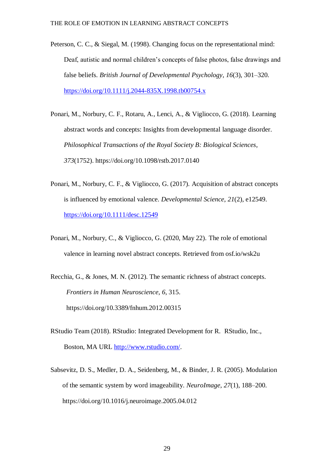- Peterson, C. C., & Siegal, M. (1998). Changing focus on the representational mind: Deaf, autistic and normal children's concepts of false photos, false drawings and false beliefs. *British Journal of Developmental Psychology*, *16*(3), 301–320. <https://doi.org/10.1111/j.2044-835X.1998.tb00754.x>
- Ponari, M., Norbury, C. F., Rotaru, A., Lenci, A., & Vigliocco, G. (2018). Learning abstract words and concepts: Insights from developmental language disorder. *Philosophical Transactions of the Royal Society B: Biological Sciences*, *373*(1752). https://doi.org/10.1098/rstb.2017.0140
- Ponari, M., Norbury, C. F., & Vigliocco, G. (2017). Acquisition of abstract concepts is influenced by emotional valence. *Developmental Science*, *21*(2), e12549. <https://doi.org/10.1111/desc.12549>
- Ponari, M., Norbury, C., & Vigliocco, G. (2020, May 22). The role of emotional valence in learning novel abstract concepts. Retrieved from osf.io/wsk2u
- Recchia, G., & Jones, M. N. (2012). The semantic richness of abstract concepts. *Frontiers in Human Neuroscience*, *6*, 315. https://doi.org/10.3389/fnhum.2012.00315
- RStudio Team (2018). RStudio: Integrated Development for R. RStudio, Inc., Boston, MA URL [http://www.rstudio.com/.](http://www.rstudio.com/)
- Sabsevitz, D. S., Medler, D. A., Seidenberg, M., & Binder, J. R. (2005). Modulation of the semantic system by word imageability. *NeuroImage*, *27*(1), 188–200. https://doi.org/10.1016/j.neuroimage.2005.04.012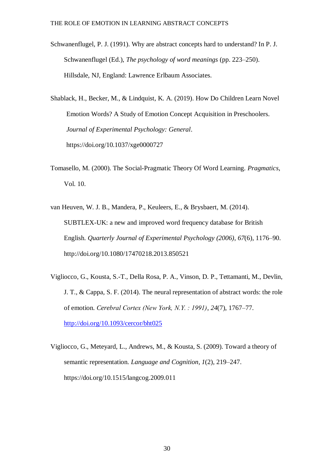Schwanenflugel, P. J. (1991). Why are abstract concepts hard to understand? In P. J. Schwanenflugel (Ed.), *The psychology of word meanings* (pp. 223–250). Hillsdale, NJ, England: Lawrence Erlbaum Associates.

Shablack, H., Becker, M., & Lindquist, K. A. (2019). How Do Children Learn Novel Emotion Words? A Study of Emotion Concept Acquisition in Preschoolers. *Journal of Experimental Psychology: General*. https://doi.org/10.1037/xge0000727

- Tomasello, M. (2000). The Social-Pragmatic Theory Of Word Learning. *Pragmatics*, Vol. 10.
- van Heuven, W. J. B., Mandera, P., Keuleers, E., & Brysbaert, M. (2014). SUBTLEX-UK: a new and improved word frequency database for British English. *Quarterly Journal of Experimental Psychology (2006)*, *67*(6), 1176–90. http://doi.org/10.1080/17470218.2013.850521
- Vigliocco, G., Kousta, S.-T., Della Rosa, P. A., Vinson, D. P., Tettamanti, M., Devlin, J. T., & Cappa, S. F. (2014). The neural representation of abstract words: the role of emotion. *Cerebral Cortex (New York, N.Y. : 1991)*, *24*(7), 1767–77. <http://doi.org/10.1093/cercor/bht025>
- Vigliocco, G., Meteyard, L., Andrews, M., & Kousta, S. (2009). Toward a theory of semantic representation. *Language and Cognition*, *1*(2), 219–247. https://doi.org/10.1515/langcog.2009.011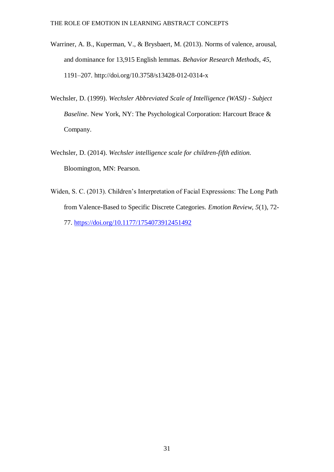- Warriner, A. B., Kuperman, V., & Brysbaert, M. (2013). Norms of valence, arousal, and dominance for 13,915 English lemmas. *Behavior Research Methods*, *45*, 1191–207. http://doi.org/10.3758/s13428-012-0314-x
- Wechsler, D. (1999). *Wechsler Abbreviated Scale of Intelligence (WASI) - Subject Baseline*. New York, NY: The Psychological Corporation: Harcourt Brace & Company.
- Wechsler, D. (2014). *Wechsler intelligence scale for children-fifth edition.* Bloomington, MN: Pearson.
- Widen, S. C. (2013). Children's Interpretation of Facial Expressions: The Long Path from Valence-Based to Specific Discrete Categories. *Emotion Review, 5*(1), 72- 77.<https://doi.org/10.1177/1754073912451492>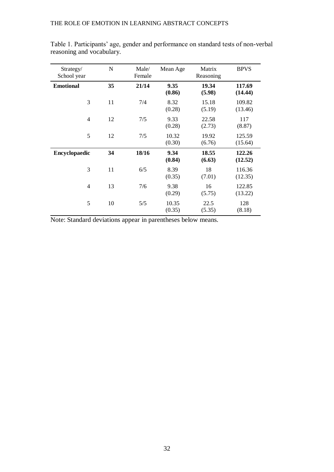| Strategy/<br>School year | $\mathbf N$ | Male/<br>Female | Mean Age        | Matrix<br>Reasoning | <b>BPVS</b>       |
|--------------------------|-------------|-----------------|-----------------|---------------------|-------------------|
| <b>Emotional</b>         | 35          | 21/14           | 9.35<br>(0.86)  | 19.34<br>(5.98)     | 117.69<br>(14.44) |
| 3                        | 11          | 7/4             | 8.32<br>(0.28)  | 15.18<br>(5.19)     | 109.82<br>(13.46) |
| $\overline{4}$           | 12          | 7/5             | 9.33<br>(0.28)  | 22.58<br>(2.73)     | 117<br>(8.87)     |
| 5                        | 12          | 7/5             | 10.32<br>(0.30) | 19.92<br>(6.76)     | 125.59<br>(15.64) |
| Encyclopaedic            | 34          | 18/16           | 9.34<br>(0.84)  | 18.55<br>(6.63)     | 122.26<br>(12.52) |
| 3                        | 11          | 6/5             | 8.39<br>(0.35)  | 18<br>(7.01)        | 116.36<br>(12.35) |
| $\overline{4}$           | 13          | 7/6             | 9.38<br>(0.29)  | 16<br>(5.75)        | 122.85<br>(13.22) |
| 5                        | 10          | 5/5             | 10.35<br>(0.35) | 22.5<br>(5.35)      | 128<br>(8.18)     |

Table 1. Participants' age, gender and performance on standard tests of non-verbal reasoning and vocabulary.

Note: Standard deviations appear in parentheses below means.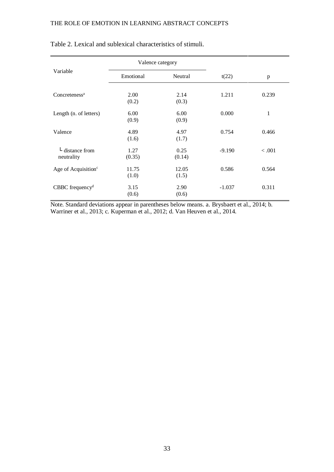|                                                      | Valence category |                |          |              |
|------------------------------------------------------|------------------|----------------|----------|--------------|
| Variable                                             | Emotional        | Neutral        | t(22)    | p            |
| Concreteness <sup>a</sup>                            | 2.00<br>(0.2)    | 2.14<br>(0.3)  | 1.211    | 0.239        |
| Length (n. of letters)                               | 6.00<br>(0.9)    | 6.00<br>(0.9)  | 0.000    | $\mathbf{1}$ |
| Valence                                              | 4.89<br>(1.6)    | 4.97<br>(1.7)  | 0.754    | 0.466        |
| $\overline{\phantom{a}}$ distance from<br>neutrality | 1.27<br>(0.35)   | 0.25<br>(0.14) | $-9.190$ | < 0.001      |
| Age of Acquisition <sup>c</sup>                      | 11.75<br>(1.0)   | 12.05<br>(1.5) | 0.586    | 0.564        |
| $CBBC$ frequency <sup>d</sup>                        | 3.15<br>(0.6)    | 2.90<br>(0.6)  | $-1.037$ | 0.311        |

### Table 2. Lexical and sublexical characteristics of stimuli.

Note. Standard deviations appear in parentheses below means. a. Brysbaert et al., 2014; b. Warriner et al., 2013; c. Kuperman et al., 2012; d. Van Heuven et al., 2014.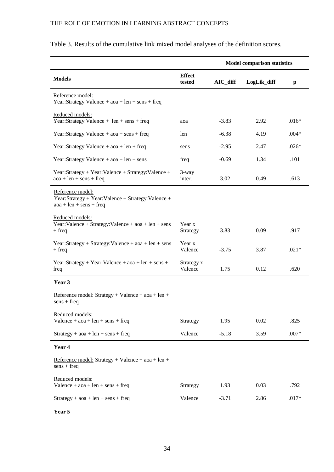|                                                                                                     |                         | <b>Model comparison statistics</b> |             |         |
|-----------------------------------------------------------------------------------------------------|-------------------------|------------------------------------|-------------|---------|
| <b>Models</b>                                                                                       | <b>Effect</b><br>tested | $AIC$ _diff                        | LogLik_diff | p       |
| Reference model:<br>Year:Strategy:Valence + $a$ oa + len + sens + freq                              |                         |                                    |             |         |
| Reduced models:<br>Year:Strategy:Valence + len + sens + freq                                        | aoa                     | $-3.83$                            | 2.92        | $.016*$ |
| Year:Strategy:Valence + aoa + sens + freq                                                           | len                     | $-6.38$                            | 4.19        | $.004*$ |
| Year:Strategy:Valence + $a$ oa + len + freq                                                         | sens                    | $-2.95$                            | 2.47        | $.026*$ |
| Year:Strategy:Valence + $a$ oa + $len$ + sens                                                       | freq                    | $-0.69$                            | 1.34        | .101    |
| Year:Strategy + Year:Valence + Strategy:Valence +<br>$a$ oa + len + sens + freq                     | 3-way<br>inter.         | 3.02                               | 0.49        | .613    |
| Reference model:<br>Year:Strategy + Year:Valence + Strategy:Valence +<br>$a$ oa + len + sens + freq |                         |                                    |             |         |
| Reduced models:<br>Year: Valence + Strategy: Valence + $a$ oa + $len$ + sens<br>$+$ freq            | Year x<br>Strategy      | 3.83                               | 0.09        | .917    |
| Year:Strategy + Strategy:Valence + $a$ oa + len + sens<br>$+$ freq                                  | Year x<br>Valence       | $-3.75$                            | 3.87        | $.021*$ |
| Year:Strategy + Year:Valence + $a$ oa + len + sens +<br>freq                                        | Strategy x<br>Valence   | 1.75                               | 0.12        | .620    |
| Year 3                                                                                              |                         |                                    |             |         |
| Reference model: Strategy + Valence + $a$ oa + $len$ +<br>$sens + freq$                             |                         |                                    |             |         |
| Reduced models:<br>Valence + $a$ oa + $len$ + $sens$ + freq                                         | Strategy                | 1.95                               | 0.02        | .825    |
| $Strategy + aoa + len + sens + freq$                                                                | Valence                 | $-5.18$                            | 3.59        | $.007*$ |
| Year 4                                                                                              |                         |                                    |             |         |
| Reference model: Strategy + Valence + $a$ oa + $len$ +<br>$sens + freq$                             |                         |                                    |             |         |
| Reduced models:<br>Valence + $a$ oa + $len$ + $sens$ + freq                                         | Strategy                | 1.93                               | 0.03        | .792    |
| $Strategy + aoa + len + sens + freq$                                                                | Valence                 | $-3.71$                            | 2.86        | $.017*$ |

## Table 3. Results of the cumulative link mixed model analyses of the definition scores.

**Year 5**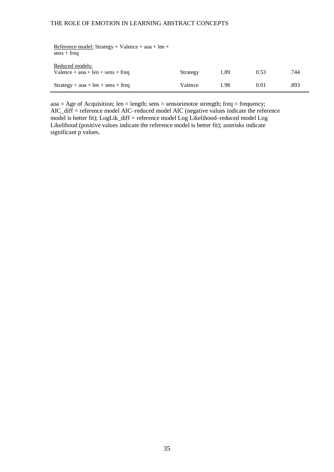| Reference model: Strategy + Valence + $a$ oa + len +<br>$sens + freq$     |          |      |      |      |
|---------------------------------------------------------------------------|----------|------|------|------|
| Reduced models:<br>Valence + $\alpha$ oa + $\alpha$ + $\gamma$ ens + freq | Strategy | 1.89 | 0.53 | .744 |
| $Strategy + aoa + len + sens + freq$                                      | Valence  | 1.98 | 0.01 | .893 |

 $a$ oa = Age of Acquisition; len = length; sens = sensorimotor strength; freq = frequency; AIC\_diff = reference model AIC–reduced model AIC (negative values indicate the reference model is better fit); LogLik\_diff = reference model Log Likelihood–reduced model Log Likelihood (positive values indicate the reference model is better fit); asterisks indicate significant p values.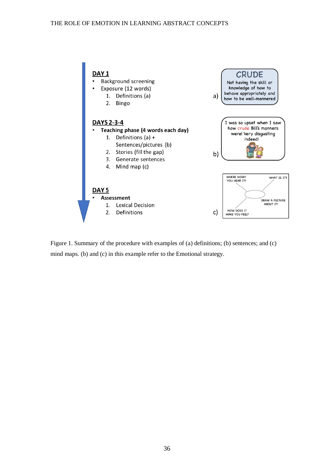

Figure 1. Summary of the procedure with examples of (a) definitions; (b) sentences; and (c) mind maps. (b) and (c) in this example refer to the Emotional strategy.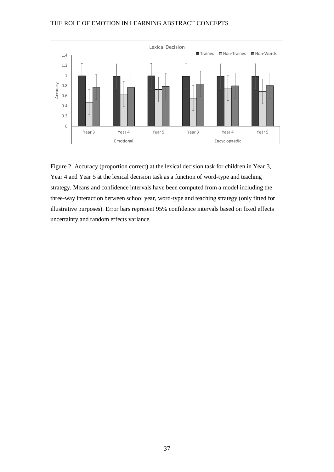

Figure 2. Accuracy (proportion correct) at the lexical decision task for children in Year 3, Year 4 and Year 5 at the lexical decision task as a function of word-type and teaching strategy. Means and confidence intervals have been computed from a model including the three-way interaction between school year, word-type and teaching strategy (only fitted for illustrative purposes). Error bars represent 95% confidence intervals based on fixed effects uncertainty and random effects variance.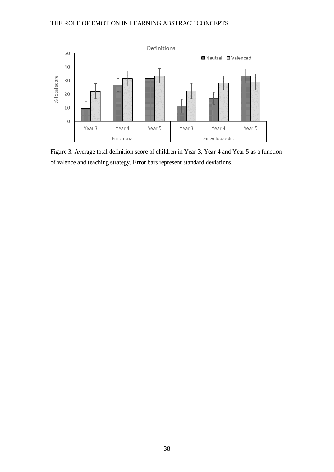

Figure 3. Average total definition score of children in Year 3, Year 4 and Year 5 as a function of valence and teaching strategy. Error bars represent standard deviations.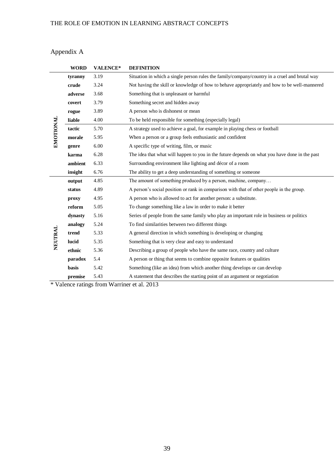## Appendix A

|           | <b>WORD</b> | <b>VALENCE*</b> | <b>DEFINITION</b>                                                                             |
|-----------|-------------|-----------------|-----------------------------------------------------------------------------------------------|
|           | tyranny     | 3.19            | Situation in which a single person rules the family/company/country in a cruel and brutal way |
|           | crude       | 3.24            | Not having the skill or knowledge of how to behave appropriately and how to be well-mannered  |
|           | adverse     | 3.68            | Something that is unpleasant or harmful                                                       |
|           | covert      | 3.79            | Something secret and hidden away                                                              |
|           | rogue       | 3.89            | A person who is dishonest or mean                                                             |
|           | liable      | 4.00            | To be held responsible for something (especially legal)                                       |
|           | tactic      | 5.70            | A strategy used to achieve a goal, for example in playing chess or football                   |
| EMOTIONAL | morale      | 5.95            | When a person or a group feels enthusiastic and confident                                     |
|           | genre       | 6.00            | A specific type of writing, film, or music                                                    |
|           | karma       | 6.28            | The idea that what will happen to you in the future depends on what you have done in the past |
|           | ambient     | 6.33            | Surrounding environment like lighting and décor of a room                                     |
|           | insight     | 6.76            | The ability to get a deep understanding of something or someone                               |
|           | output      | 4.85            | The amount of something produced by a person, machine, company                                |
|           | status      | 4.89            | A person's social position or rank in comparison with that of other people in the group.      |
|           | proxy       | 4.95            | A person who is allowed to act for another person: a substitute.                              |
|           | reform      | 5.05            | To change something like a law in order to make it better                                     |
|           | dynasty     | 5.16            | Series of people from the same family who play an important role in business or politics      |
|           | analogy     | 5.24            | To find similarities between two different things                                             |
| NEUTRAL   | trend       | 5.33            | A general direction in which something is developing or changing                              |
|           | lucid       | 5.35            | Something that is very clear and easy to understand                                           |
|           | ethnic      | 5.36            | Describing a group of people who have the same race, country and culture                      |
|           | paradox     | 5.4             | A person or thing that seems to combine opposite features or qualities                        |
|           | basis       | 5.42            | Something (like an idea) from which another thing develops or can develop                     |
|           | premise     | 5.43            | A statement that describes the starting point of an argument or negotiation                   |
| $+ T$ $+$ |             |                 | 1.0010                                                                                        |

\* Valence ratings from Warriner et al. 2013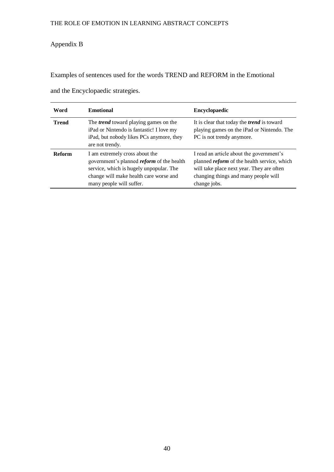## Appendix B

Examples of sentences used for the words TREND and REFORM in the Emotional

| Word          | <b>Emotional</b>                                                                                                                                                                                    | <b>Encyclopaedic</b>                                                                                                                                                                                |  |
|---------------|-----------------------------------------------------------------------------------------------------------------------------------------------------------------------------------------------------|-----------------------------------------------------------------------------------------------------------------------------------------------------------------------------------------------------|--|
| <b>Trend</b>  | The <i>trend</i> toward playing games on the<br>iPad or Nintendo is fantastic! I love my<br>iPad, but nobody likes PCs anymore, they<br>are not trendy.                                             | It is clear that today the <i>trend</i> is toward<br>playing games on the iPad or Nintendo. The<br>PC is not trendy anymore.                                                                        |  |
| <b>Reform</b> | I am extremely cross about the<br>government's planned <i>reform</i> of the health<br>service, which is hugely unpopular. The<br>change will make health care worse and<br>many people will suffer. | I read an article about the government's<br>planned <i>reform</i> of the health service, which<br>will take place next year. They are often<br>changing things and many people will<br>change jobs. |  |

and the Encyclopaedic strategies.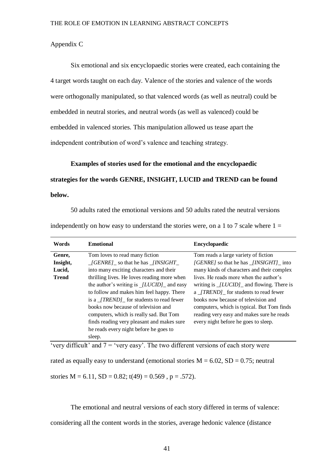#### Appendix C

Six emotional and six encyclopaedic stories were created, each containing the 4 target words taught on each day. Valence of the stories and valence of the words were orthogonally manipulated, so that valenced words (as well as neutral) could be embedded in neutral stories, and neutral words (as well as valenced) could be embedded in valenced stories. This manipulation allowed us tease apart the independent contribution of word's valence and teaching strategy.

**Examples of stories used for the emotional and the encyclopaedic strategies for the words GENRE, INSIGHT, LUCID and TREND can be found below.**

50 adults rated the emotional versions and 50 adults rated the neutral versions

independently on how easy to understand the stories were, on a 1 to 7 scale where  $1 =$ 

| Words        | <b>Emotional</b>                                               | <b>Encyclopaedic</b>                                |
|--------------|----------------------------------------------------------------|-----------------------------------------------------|
| Genre.       | Tom loves to read many fiction                                 | Tom reads a large variety of fiction                |
| Insight,     | $\angle$ [GENRE] so that he has $\angle$ [INSIGHT              | [GENRE] so that he has _ <i>[INSIGHT</i> ]_ into    |
| Lucid,       | into many exciting characters and their                        | many kinds of characters and their complex          |
| <b>Trend</b> | thrilling lives. He loves reading more when                    | lives. He reads more when the author's              |
|              | the author's writing is $[LUCID]$ and easy                     | writing is $\frac{fLUCID}{I}$ and flowing. There is |
|              | to follow and makes him feel happy. There                      | a <i>[TREND]</i> for students to read fewer         |
|              | is a <i>[TREND]</i> for students to read fewer                 | books now because of television and                 |
|              | books now because of television and                            | computers, which is typical. But Tom finds          |
|              | computers, which is really sad. But Tom                        | reading very easy and makes sure he reads           |
|              | finds reading very pleasant and makes sure                     | every night before he goes to sleep.                |
|              | he reads every night before he goes to                         |                                                     |
|              | sleep.                                                         |                                                     |
| 1.00         | 1.00<br>$\overline{\phantom{a}}$<br>$\sim$ $\sim$<br>$\ddotsc$ | $\alpha$ 1 $\alpha$                                 |

'very difficult' and  $7 =$  'very easy'. The two different versions of each story were

rated as equally easy to understand (emotional stories  $M = 6.02$ ,  $SD = 0.75$ ; neutral stories  $M = 6.11$ ,  $SD = 0.82$ ;  $t(49) = 0.569$ ,  $p = .572$ ).

The emotional and neutral versions of each story differed in terms of valence: considering all the content words in the stories, average hedonic valence (distance